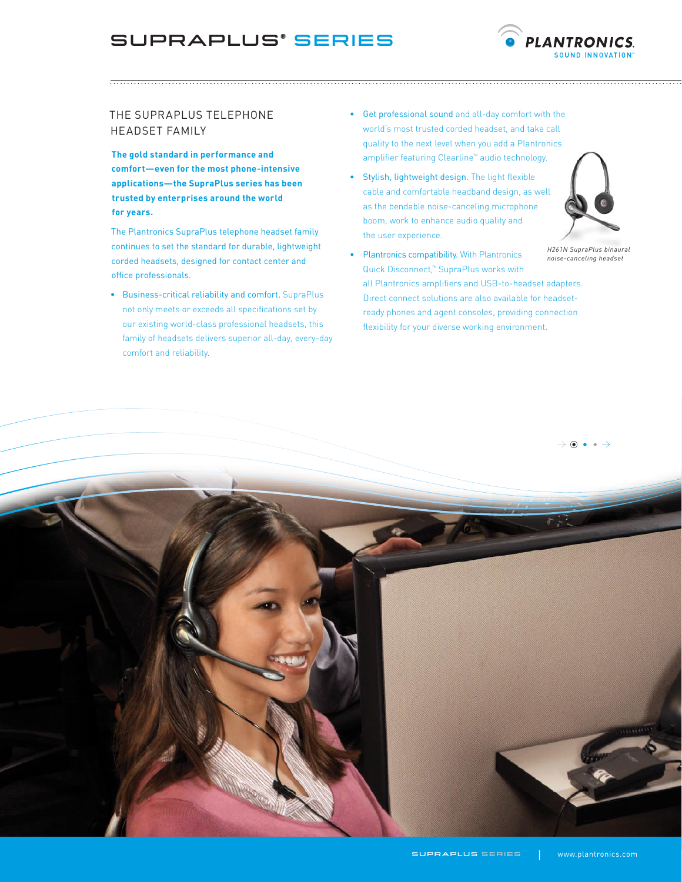## SupraPlus® Series

The SupraPlus Telephone Headset Family

**The gold standard in performance and comfort—even for the most phone-intensive applications—the SupraPlus series has been trusted by enterprises around the world for years.**

The Plantronics SupraPlus telephone headset family continues to set the standard for durable, lightweight corded headsets, designed for contact center and office professionals.

• Business-critical reliability and comfort. SupraPlus not only meets or exceeds all specifications set by our existing world-class professional headsets, this family of headsets delivers superior all-day, every-day comfort and reliability.

- Get professional sound and all-day comfort with the world's most trusted corded headset, and take call quality to the next level when you add a Plantronics amplifier featuring Clearline™ audio technology.
- Stylish, lightweight design. The light flexible cable and comfortable headband design, as well as the bendable noise-canceling microphone boom, work to enhance audio quality and the user experience.



**PLANTRONICS** 

• Plantronics compatibility. With Plantronics Quick Disconnect,™ SupraPlus works with all Plantronics amplifiers and USB-to-headset adapters. Direct connect solutions are also available for headsetready phones and agent consoles, providing connection flexibility for your diverse working environment.

 $\rightarrow$  0  $\bullet$   $\rightarrow$ 

*H261N SupraPlus binaural noise-canceling headset*